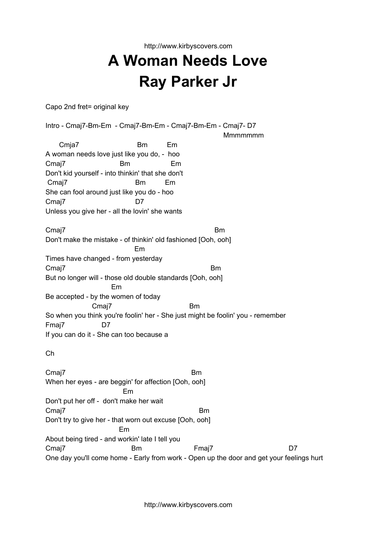http://www.kirbyscovers.com **A Woman Needs Love Ray Parker Jr**

Capo 2nd fret= original key

Intro - Cmaj7-Bm-Em - Cmaj7-Bm-Em - Cmaj7-Bm-Em - Cmaj7- D7 **Mmmmmmm** Cmja7 Bm Em A woman needs love just like you do, - hoo Cmaj7 Bm Em Don't kid yourself - into thinkin' that she don't Cmaj7 Bm Em She can fool around just like you do - hoo Cmaj7 D7 Unless you give her - all the lovin' she wants Cmaj7 Bm Don't make the mistake - of thinkin' old fashioned [Ooh, ooh] Em Times have changed - from yesterday Cmaj7 Bm But no longer will - those old double standards [Ooh, ooh] Em Be accepted - by the women of today Cmaj7 Bm So when you think you're foolin' her - She just might be foolin' you - remember Fmaj7 D7 If you can do it - She can too because a Ch Cmaj7 Bm When her eyes - are beggin' for affection [Ooh, ooh] Em

Don't put her off - don't make her wait Cmaj7 Bm Don't try to give her - that worn out excuse [Ooh, ooh] Em About being tired - and workin' late I tell you Cmaj7 Bm Fmaj7 D7 One day you'll come home - Early from work - Open up the door and get your feelings hurt